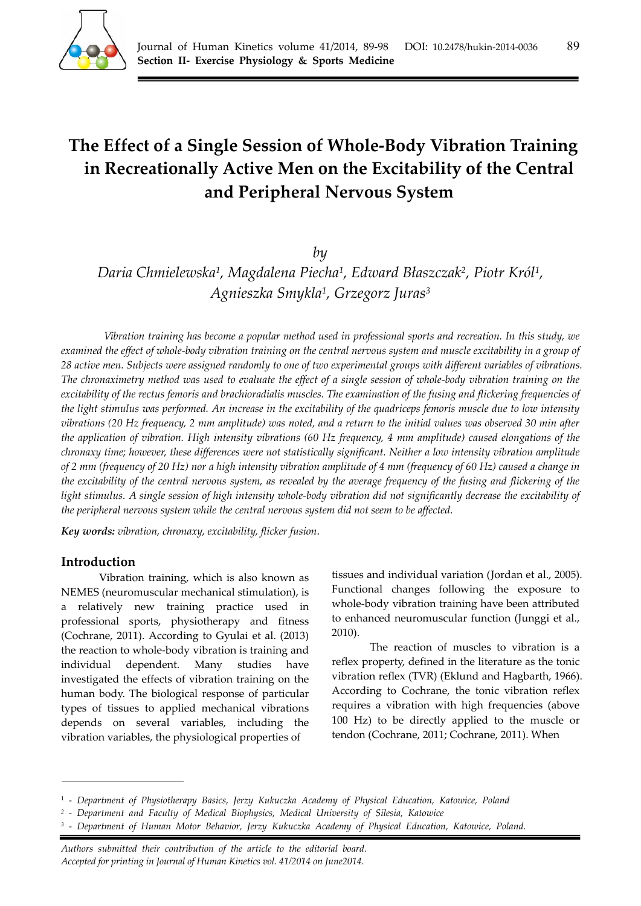

# **The Effect of a Single Session of Whole-Body Vibration Training in Recreationally Active Men on the Excitability of the Central and Peripheral Nervous System**

# *by*

*Daria Chmielewska1, Magdalena Piecha1, Edward Błaszczak2, Piotr Król1, Agnieszka Smykla1, Grzegorz Juras3*

*Vibration training has become a popular method used in professional sports and recreation. In this study, we examined the effect of whole-body vibration training on the central nervous system and muscle excitability in a group of 28 active men. Subjects were assigned randomly to one of two experimental groups with different variables of vibrations. The chronaximetry method was used to evaluate the effect of a single session of whole-body vibration training on the excitability of the rectus femoris and brachioradialis muscles. The examination of the fusing and flickering frequencies of the light stimulus was performed. An increase in the excitability of the quadriceps femoris muscle due to low intensity vibrations (20 Hz frequency, 2 mm amplitude) was noted, and a return to the initial values was observed 30 min after the application of vibration. High intensity vibrations (60 Hz frequency, 4 mm amplitude) caused elongations of the chronaxy time; however, these differences were not statistically significant. Neither a low intensity vibration amplitude of 2 mm (frequency of 20 Hz) nor a high intensity vibration amplitude of 4 mm (frequency of 60 Hz) caused a change in the excitability of the central nervous system, as revealed by the average frequency of the fusing and flickering of the light stimulus. A single session of high intensity whole-body vibration did not significantly decrease the excitability of the peripheral nervous system while the central nervous system did not seem to be affected.* 

*Key words: vibration, chronaxy, excitability, flicker fusion*.

## **Introduction**

Vibration training, which is also known as NEMES (neuromuscular mechanical stimulation), is a relatively new training practice used in professional sports, physiotherapy and fitness (Cochrane, 2011). According to Gyulai et al. (2013) the reaction to whole-body vibration is training and individual dependent. Many studies have investigated the effects of vibration training on the human body. The biological response of particular types of tissues to applied mechanical vibrations depends on several variables, including the vibration variables, the physiological properties of

tissues and individual variation (Jordan et al., 2005). Functional changes following the exposure to whole-body vibration training have been attributed to enhanced neuromuscular function (Junggi et al., 2010).

The reaction of muscles to vibration is a reflex property, defined in the literature as the tonic vibration reflex (TVR) (Eklund and Hagbarth, 1966). According to Cochrane, the tonic vibration reflex requires a vibration with high frequencies (above 100 Hz) to be directly applied to the muscle or tendon (Cochrane, 2011; Cochrane, 2011). When

<sup>1</sup> *‐ Department of Physiotherapy Basics, Jerzy Kukuczka Academy of Physical Education, Katowice, Poland* 

*<sup>2 -</sup> Department and Faculty of Medical Biophysics, Medical University of Silesia, Katowice* 

<sup>&</sup>lt;sup>3</sup> - Department of Human Motor Behavior, Jerzy Kukuczka Academy of Physical Education, Katowice, Poland.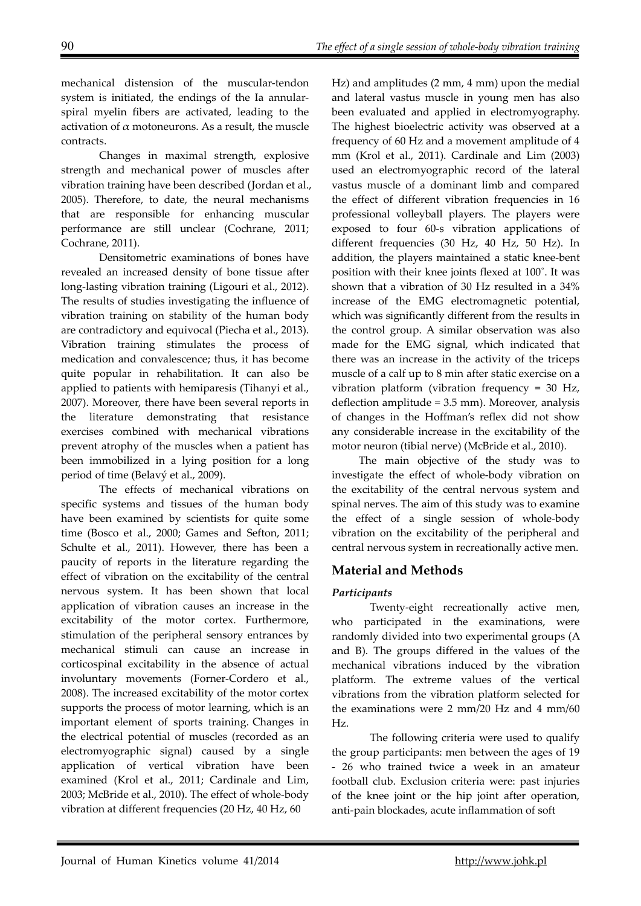mechanical distension of the muscular-tendon system is initiated, the endings of the Ia annularspiral myelin fibers are activated, leading to the activation of  $\alpha$  motoneurons. As a result, the muscle contracts.

Changes in maximal strength, explosive strength and mechanical power of muscles after vibration training have been described (Jordan et al., 2005). Therefore, to date, the neural mechanisms that are responsible for enhancing muscular performance are still unclear (Cochrane, 2011; Cochrane, 2011).

Densitometric examinations of bones have revealed an increased density of bone tissue after long-lasting vibration training (Ligouri et al., 2012). The results of studies investigating the influence of vibration training on stability of the human body are contradictory and equivocal (Piecha et al., 2013). Vibration training stimulates the process of medication and convalescence; thus, it has become quite popular in rehabilitation. It can also be applied to patients with hemiparesis (Tihanyi et al., 2007). Moreover, there have been several reports in the literature demonstrating that resistance exercises combined with mechanical vibrations prevent atrophy of the muscles when a patient has been immobilized in a lying position for a long period of time (Belavý et al., 2009).

The effects of mechanical vibrations on specific systems and tissues of the human body have been examined by scientists for quite some time (Bosco et al., 2000; Games and Sefton, 2011; Schulte et al., 2011). However, there has been a paucity of reports in the literature regarding the effect of vibration on the excitability of the central nervous system. It has been shown that local application of vibration causes an increase in the excitability of the motor cortex. Furthermore, stimulation of the peripheral sensory entrances by mechanical stimuli can cause an increase in corticospinal excitability in the absence of actual involuntary movements (Forner-Cordero et al., 2008). The increased excitability of the motor cortex supports the process of motor learning, which is an important element of sports training. Changes in the electrical potential of muscles (recorded as an electromyographic signal) caused by a single application of vertical vibration have been examined (Krol et al., 2011; Cardinale and Lim, 2003; McBride et al., 2010). The effect of whole-body vibration at different frequencies (20 Hz, 40 Hz, 60

Hz) and amplitudes (2 mm, 4 mm) upon the medial and lateral vastus muscle in young men has also been evaluated and applied in electromyography. The highest bioelectric activity was observed at a frequency of 60 Hz and a movement amplitude of 4 mm (Krol et al., 2011). Cardinale and Lim (2003) used an electromyographic record of the lateral vastus muscle of a dominant limb and compared the effect of different vibration frequencies in 16 professional volleyball players. The players were exposed to four 60-s vibration applications of different frequencies (30 Hz, 40 Hz, 50 Hz). In addition, the players maintained a static knee-bent position with their knee joints flexed at 100˚. It was shown that a vibration of 30 Hz resulted in a 34% increase of the EMG electromagnetic potential, which was significantly different from the results in the control group. A similar observation was also made for the EMG signal, which indicated that there was an increase in the activity of the triceps muscle of a calf up to 8 min after static exercise on a vibration platform (vibration frequency = 30 Hz, deflection amplitude = 3.5 mm). Moreover, analysis of changes in the Hoffman's reflex did not show any considerable increase in the excitability of the motor neuron (tibial nerve) (McBride et al., 2010).

The main objective of the study was to investigate the effect of whole-body vibration on the excitability of the central nervous system and spinal nerves. The aim of this study was to examine the effect of a single session of whole-body vibration on the excitability of the peripheral and central nervous system in recreationally active men.

# **Material and Methods**

## *Participants*

Twenty-eight recreationally active men, who participated in the examinations, were randomly divided into two experimental groups (A and B). The groups differed in the values of the mechanical vibrations induced by the vibration platform. The extreme values of the vertical vibrations from the vibration platform selected for the examinations were 2 mm/20 Hz and 4 mm/60 Hz.

The following criteria were used to qualify the group participants: men between the ages of 19 - 26 who trained twice a week in an amateur football club. Exclusion criteria were: past injuries of the knee joint or the hip joint after operation, anti-pain blockades, acute inflammation of soft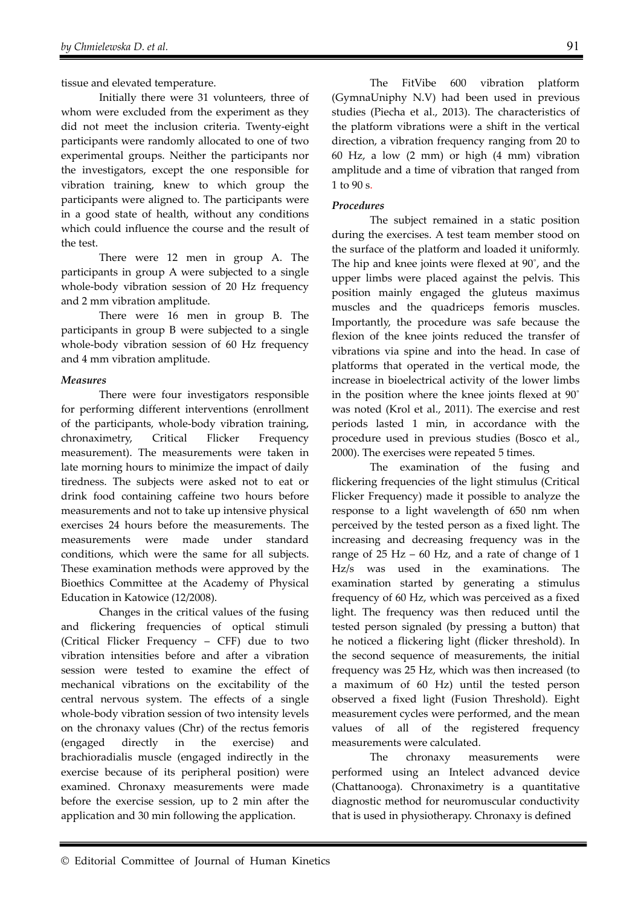tissue and elevated temperature.

Initially there were 31 volunteers, three of whom were excluded from the experiment as they did not meet the inclusion criteria. Twenty-eight participants were randomly allocated to one of two experimental groups. Neither the participants nor the investigators, except the one responsible for vibration training, knew to which group the participants were aligned to. The participants were in a good state of health, without any conditions which could influence the course and the result of the test.

There were 12 men in group A. The participants in group A were subjected to a single whole-body vibration session of 20 Hz frequency and 2 mm vibration amplitude.

There were 16 men in group B. The participants in group B were subjected to a single whole-body vibration session of 60 Hz frequency and 4 mm vibration amplitude.

#### *Measures*

There were four investigators responsible for performing different interventions (enrollment of the participants, whole-body vibration training, chronaximetry, Critical Flicker Frequency measurement). The measurements were taken in late morning hours to minimize the impact of daily tiredness. The subjects were asked not to eat or drink food containing caffeine two hours before measurements and not to take up intensive physical exercises 24 hours before the measurements. The measurements were made under standard conditions, which were the same for all subjects. These examination methods were approved by the Bioethics Committee at the Academy of Physical Education in Katowice (12/2008).

Changes in the critical values of the fusing and flickering frequencies of optical stimuli (Critical Flicker Frequency – CFF) due to two vibration intensities before and after a vibration session were tested to examine the effect of mechanical vibrations on the excitability of the central nervous system. The effects of a single whole-body vibration session of two intensity levels on the chronaxy values (Chr) of the rectus femoris (engaged directly in the exercise) and brachioradialis muscle (engaged indirectly in the exercise because of its peripheral position) were examined. Chronaxy measurements were made before the exercise session, up to 2 min after the application and 30 min following the application.

The FitVibe 600 vibration platform (GymnaUniphy N.V) had been used in previous studies (Piecha et al., 2013). The characteristics of the platform vibrations were a shift in the vertical direction, a vibration frequency ranging from 20 to 60 Hz, a low (2 mm) or high (4 mm) vibration amplitude and a time of vibration that ranged from 1 to 90 s.

#### *Procedures*

The subject remained in a static position during the exercises. A test team member stood on the surface of the platform and loaded it uniformly. The hip and knee joints were flexed at 90˚, and the upper limbs were placed against the pelvis. This position mainly engaged the gluteus maximus muscles and the quadriceps femoris muscles. Importantly, the procedure was safe because the flexion of the knee joints reduced the transfer of vibrations via spine and into the head. In case of platforms that operated in the vertical mode, the increase in bioelectrical activity of the lower limbs in the position where the knee joints flexed at 90˚ was noted (Krol et al., 2011). The exercise and rest periods lasted 1 min, in accordance with the procedure used in previous studies (Bosco et al., 2000). The exercises were repeated 5 times.

The examination of the fusing and flickering frequencies of the light stimulus (Critical Flicker Frequency) made it possible to analyze the response to a light wavelength of 650 nm when perceived by the tested person as a fixed light. The increasing and decreasing frequency was in the range of  $25$  Hz – 60 Hz, and a rate of change of 1 Hz/s was used in the examinations. The examination started by generating a stimulus frequency of 60 Hz, which was perceived as a fixed light. The frequency was then reduced until the tested person signaled (by pressing a button) that he noticed a flickering light (flicker threshold). In the second sequence of measurements, the initial frequency was 25 Hz, which was then increased (to a maximum of 60 Hz) until the tested person observed a fixed light (Fusion Threshold). Eight measurement cycles were performed, and the mean values of all of the registered frequency measurements were calculated.

The chronaxy measurements were performed using an Intelect advanced device (Chattanooga). Chronaximetry is a quantitative diagnostic method for neuromuscular conductivity that is used in physiotherapy. Chronaxy is defined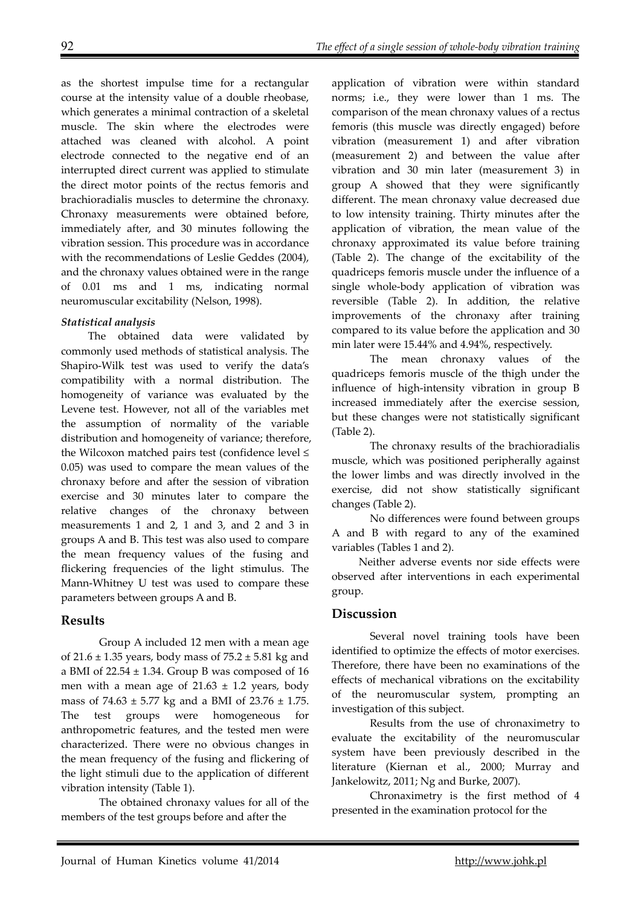as the shortest impulse time for a rectangular course at the intensity value of a double rheobase, which generates a minimal contraction of a skeletal muscle. The skin where the electrodes were attached was cleaned with alcohol. A point electrode connected to the negative end of an interrupted direct current was applied to stimulate the direct motor points of the rectus femoris and brachioradialis muscles to determine the chronaxy. Chronaxy measurements were obtained before, immediately after, and 30 minutes following the vibration session. This procedure was in accordance with the recommendations of Leslie Geddes (2004), and the chronaxy values obtained were in the range of 0.01 ms and 1 ms, indicating normal neuromuscular excitability (Nelson, 1998).

#### *Statistical analysis*

The obtained data were validated by commonly used methods of statistical analysis. The Shapiro-Wilk test was used to verify the data's compatibility with a normal distribution. The homogeneity of variance was evaluated by the Levene test. However, not all of the variables met the assumption of normality of the variable distribution and homogeneity of variance; therefore, the Wilcoxon matched pairs test (confidence level ≤ 0.05) was used to compare the mean values of the chronaxy before and after the session of vibration exercise and 30 minutes later to compare the relative changes of the chronaxy between measurements 1 and 2, 1 and 3, and 2 and 3 in groups A and B. This test was also used to compare the mean frequency values of the fusing and flickering frequencies of the light stimulus. The Mann-Whitney U test was used to compare these parameters between groups A and B.

## **Results**

Group A included 12 men with a mean age of  $21.6 \pm 1.35$  years, body mass of  $75.2 \pm 5.81$  kg and a BMI of  $22.54 \pm 1.34$ . Group B was composed of 16 men with a mean age of  $21.63 \pm 1.2$  years, body mass of  $74.63 \pm 5.77$  kg and a BMI of  $23.76 \pm 1.75$ . The test groups were homogeneous for anthropometric features, and the tested men were characterized. There were no obvious changes in the mean frequency of the fusing and flickering of the light stimuli due to the application of different vibration intensity (Table 1).

The obtained chronaxy values for all of the members of the test groups before and after the

application of vibration were within standard norms; i.e., they were lower than 1 ms. The comparison of the mean chronaxy values of a rectus femoris (this muscle was directly engaged) before vibration (measurement 1) and after vibration (measurement 2) and between the value after vibration and 30 min later (measurement 3) in group A showed that they were significantly different. The mean chronaxy value decreased due to low intensity training. Thirty minutes after the application of vibration, the mean value of the chronaxy approximated its value before training (Table 2). The change of the excitability of the quadriceps femoris muscle under the influence of a single whole-body application of vibration was reversible (Table 2). In addition, the relative improvements of the chronaxy after training compared to its value before the application and 30 min later were 15.44% and 4.94%, respectively.

The mean chronaxy values of the quadriceps femoris muscle of the thigh under the influence of high-intensity vibration in group B increased immediately after the exercise session, but these changes were not statistically significant (Table 2).

The chronaxy results of the brachioradialis muscle, which was positioned peripherally against the lower limbs and was directly involved in the exercise, did not show statistically significant changes (Table 2).

No differences were found between groups A and B with regard to any of the examined variables (Tables 1 and 2).

Neither adverse events nor side effects were observed after interventions in each experimental group.

## **Discussion**

Several novel training tools have been identified to optimize the effects of motor exercises. Therefore, there have been no examinations of the effects of mechanical vibrations on the excitability of the neuromuscular system, prompting an investigation of this subject.

Results from the use of chronaximetry to evaluate the excitability of the neuromuscular system have been previously described in the literature (Kiernan et al., 2000; Murray and Jankelowitz, 2011; Ng and Burke, 2007).

Chronaximetry is the first method of 4 presented in the examination protocol for the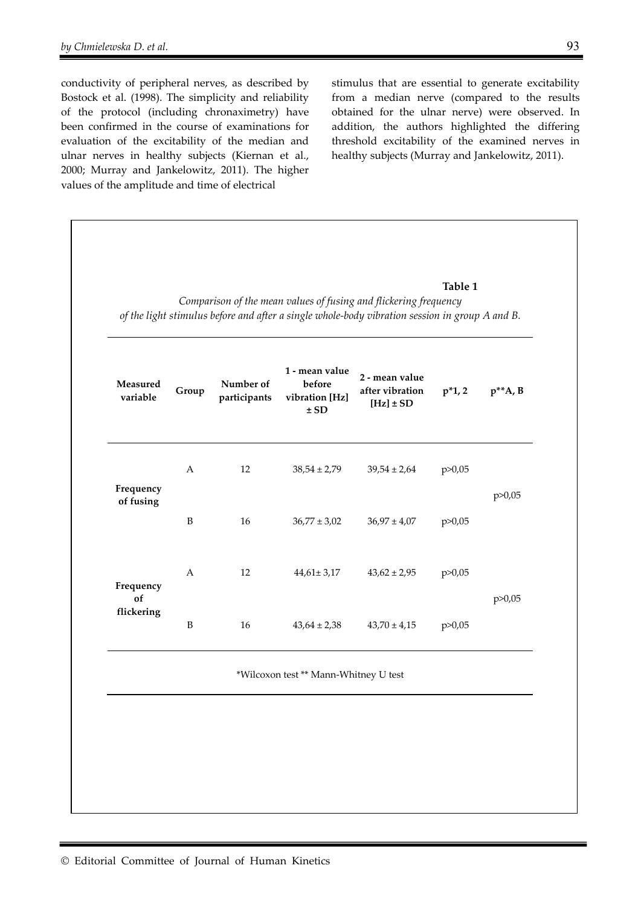conductivity of peripheral nerves, as described by Bostock et al. (1998). The simplicity and reliability of the protocol (including chronaximetry) have been confirmed in the course of examinations for evaluation of the excitability of the median and ulnar nerves in healthy subjects (Kiernan et al., 2000; Murray and Jankelowitz, 2011). The higher values of the amplitude and time of electrical

stimulus that are essential to generate excitability from a median nerve (compared to the results obtained for the ulnar nerve) were observed. In addition, the authors highlighted the differing threshold excitability of the examined nerves in healthy subjects (Murray and Jankelowitz, 2011).

#### **Table 1**

*Comparison of the mean values of fusing and flickering frequency of the light stimulus before and after a single whole-body vibration session in group A and B.* 

| variable        | Group        | Number of<br>participants | 1 - mean value<br>before<br>vibration [Hz]<br>$\pm$ SD | 2 - mean value<br>after vibration<br>$[Hz] \pm SD$ | $p^*1, 2$ | $p^*A$ , B |  |
|-----------------|--------------|---------------------------|--------------------------------------------------------|----------------------------------------------------|-----------|------------|--|
| Frequency       | A            | 12                        | $38,54 \pm 2,79$                                       | $39,54 \pm 2,64$                                   | p > 0,05  | p > 0,05   |  |
| of fusing       | $\, {\bf B}$ | 16                        | $36,77 \pm 3,02$                                       | $36,97 \pm 4,07$                                   | p > 0,05  |            |  |
| Frequency<br>of | A            | 12                        | $44,61 \pm 3,17$                                       | $43,62 \pm 2,95$                                   | p > 0,05  | p > 0,05   |  |
| flickering      | B            | 16                        | $43,64 \pm 2,38$                                       | $43,70 \pm 4,15$                                   | p > 0,05  |            |  |
|                 |              |                           | *Wilcoxon test ** Mann-Whitney U test                  |                                                    |           |            |  |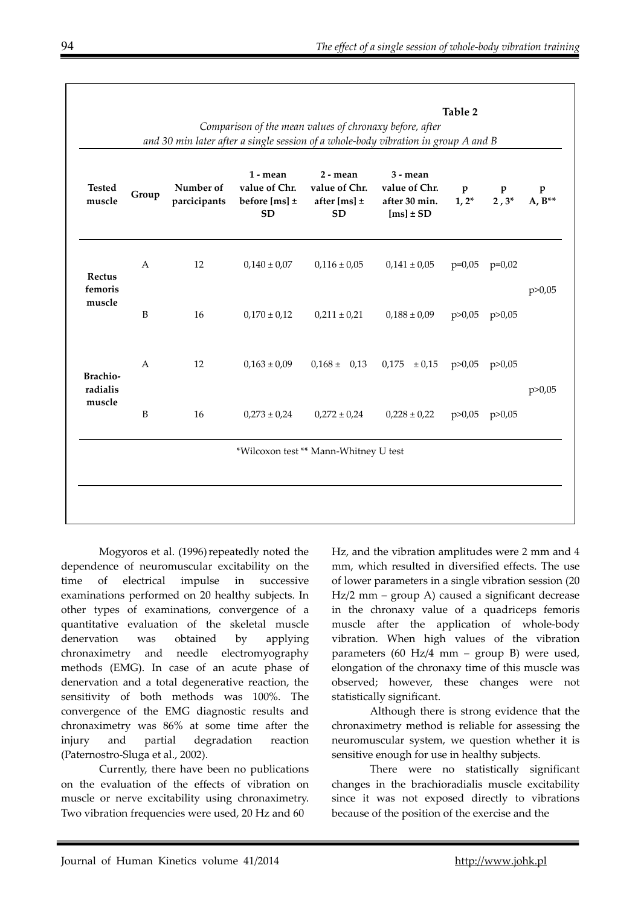| <b>Tested</b><br>muscle               | Group          | Number of<br>parcicipants | 1 - mean<br>value of Chr.<br>before [ms] $\pm$<br><b>SD</b> | $2 - mean$<br>value of Chr.<br>after [ms] $\pm$<br><b>SD</b> | $3 - mean$<br>value of Chr.<br>after 30 min.<br>$[ms] \pm SD$ | $\mathbf{p}$<br>$1, 2^*$ | P<br>$2,3^*$ | $A, B^{**}$ |
|---------------------------------------|----------------|---------------------------|-------------------------------------------------------------|--------------------------------------------------------------|---------------------------------------------------------------|--------------------------|--------------|-------------|
| Rectus<br>femoris<br>muscle           | $\mathbf{A}$   | 12                        | $0,140 \pm 0,07$                                            | $0,116 \pm 0,05$                                             | $0,141 \pm 0,05$                                              | $p=0,05$                 | $p=0,02$     | p > 0,05    |
|                                       | B              | 16                        | $0,170 \pm 0,12$                                            | $0,211 \pm 0,21$                                             | $0,188 \pm 0,09$                                              | p > 0,05                 | p > 0,05     |             |
| <b>Brachio-</b><br>radialis<br>muscle | $\overline{A}$ | 12                        | $0,163 \pm 0,09$                                            | $0,168 \pm 0,13$                                             | 0,175<br>$\pm 0.15$                                           | p > 0,05                 | p > 0,05     | p > 0,05    |
|                                       | $\, {\bf B}$   | 16                        | $0,273 \pm 0,24$                                            | $0,272 \pm 0,24$                                             | $0,228 \pm 0,22$                                              | p > 0,05                 | p > 0,05     |             |

Mogyoros et al. (1996) repeatedly noted the dependence of neuromuscular excitability on the time of electrical impulse in successive examinations performed on 20 healthy subjects. In other types of examinations, convergence of a quantitative evaluation of the skeletal muscle denervation was obtained by applying chronaximetry and needle electromyography methods (EMG). In case of an acute phase of denervation and a total degenerative reaction, the sensitivity of both methods was 100%. The convergence of the EMG diagnostic results and chronaximetry was 86% at some time after the injury and partial degradation reaction (Paternostro-Sluga et al., 2002).

Currently, there have been no publications on the evaluation of the effects of vibration on muscle or nerve excitability using chronaximetry. Two vibration frequencies were used, 20 Hz and 60

Hz, and the vibration amplitudes were 2 mm and 4 mm, which resulted in diversified effects. The use of lower parameters in a single vibration session (20 Hz/2 mm – group A) caused a significant decrease in the chronaxy value of a quadriceps femoris muscle after the application of whole-body vibration. When high values of the vibration parameters (60 Hz/4 mm – group B) were used, elongation of the chronaxy time of this muscle was observed; however, these changes were not statistically significant.

Although there is strong evidence that the chronaximetry method is reliable for assessing the neuromuscular system, we question whether it is sensitive enough for use in healthy subjects.

There were no statistically significant changes in the brachioradialis muscle excitability since it was not exposed directly to vibrations because of the position of the exercise and the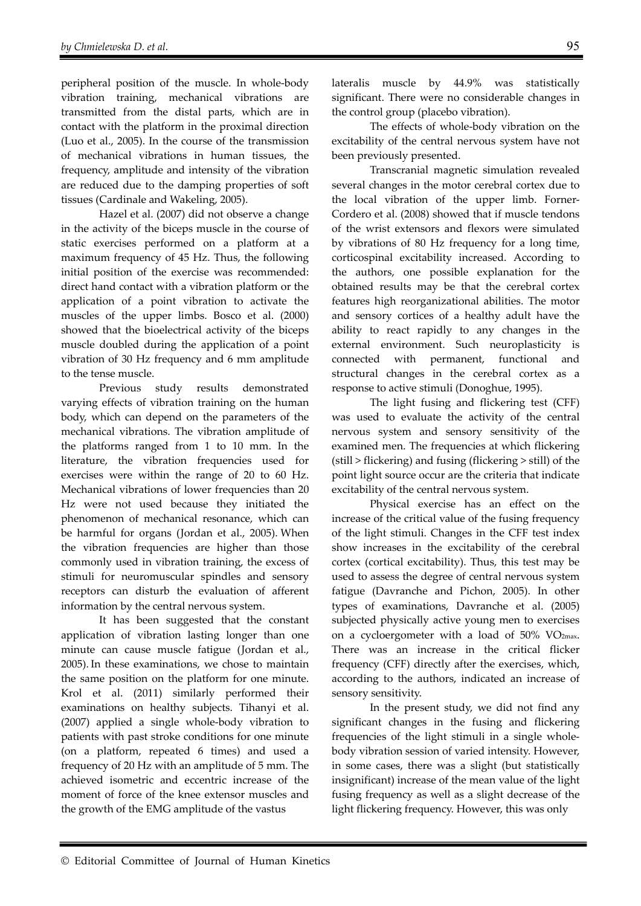peripheral position of the muscle. In whole-body vibration training, mechanical vibrations are transmitted from the distal parts, which are in contact with the platform in the proximal direction (Luo et al., 2005). In the course of the transmission of mechanical vibrations in human tissues, the frequency, amplitude and intensity of the vibration are reduced due to the damping properties of soft tissues (Cardinale and Wakeling, 2005).

Hazel et al. (2007) did not observe a change in the activity of the biceps muscle in the course of static exercises performed on a platform at a maximum frequency of 45 Hz. Thus, the following initial position of the exercise was recommended: direct hand contact with a vibration platform or the application of a point vibration to activate the muscles of the upper limbs. Bosco et al. (2000) showed that the bioelectrical activity of the biceps muscle doubled during the application of a point vibration of 30 Hz frequency and 6 mm amplitude to the tense muscle.

Previous study results demonstrated varying effects of vibration training on the human body, which can depend on the parameters of the mechanical vibrations. The vibration amplitude of the platforms ranged from 1 to 10 mm. In the literature, the vibration frequencies used for exercises were within the range of 20 to 60 Hz. Mechanical vibrations of lower frequencies than 20 Hz were not used because they initiated the phenomenon of mechanical resonance, which can be harmful for organs (Jordan et al., 2005). When the vibration frequencies are higher than those commonly used in vibration training, the excess of stimuli for neuromuscular spindles and sensory receptors can disturb the evaluation of afferent information by the central nervous system.

It has been suggested that the constant application of vibration lasting longer than one minute can cause muscle fatigue (Jordan et al., 2005). In these examinations, we chose to maintain the same position on the platform for one minute. Krol et al. (2011) similarly performed their examinations on healthy subjects. Tihanyi et al. (2007) applied a single whole-body vibration to patients with past stroke conditions for one minute (on a platform, repeated 6 times) and used a frequency of 20 Hz with an amplitude of 5 mm. The achieved isometric and eccentric increase of the moment of force of the knee extensor muscles and the growth of the EMG amplitude of the vastus

lateralis muscle by 44.9% was statistically significant. There were no considerable changes in the control group (placebo vibration).

The effects of whole-body vibration on the excitability of the central nervous system have not been previously presented.

Transcranial magnetic simulation revealed several changes in the motor cerebral cortex due to the local vibration of the upper limb. Forner-Cordero et al. (2008) showed that if muscle tendons of the wrist extensors and flexors were simulated by vibrations of 80 Hz frequency for a long time, corticospinal excitability increased. According to the authors, one possible explanation for the obtained results may be that the cerebral cortex features high reorganizational abilities. The motor and sensory cortices of a healthy adult have the ability to react rapidly to any changes in the external environment. Such neuroplasticity is connected with permanent, functional and structural changes in the cerebral cortex as a response to active stimuli (Donoghue, 1995).

The light fusing and flickering test (CFF) was used to evaluate the activity of the central nervous system and sensory sensitivity of the examined men. The frequencies at which flickering (still > flickering) and fusing (flickering > still) of the point light source occur are the criteria that indicate excitability of the central nervous system.

Physical exercise has an effect on the increase of the critical value of the fusing frequency of the light stimuli. Changes in the CFF test index show increases in the excitability of the cerebral cortex (cortical excitability). Thus, this test may be used to assess the degree of central nervous system fatigue (Davranche and Pichon, 2005). In other types of examinations, Davranche et al. (2005) subjected physically active young men to exercises on a cycloergometer with a load of 50% VO2max. There was an increase in the critical flicker frequency (CFF) directly after the exercises, which, according to the authors, indicated an increase of sensory sensitivity.

In the present study, we did not find any significant changes in the fusing and flickering frequencies of the light stimuli in a single wholebody vibration session of varied intensity. However, in some cases, there was a slight (but statistically insignificant) increase of the mean value of the light fusing frequency as well as a slight decrease of the light flickering frequency. However, this was only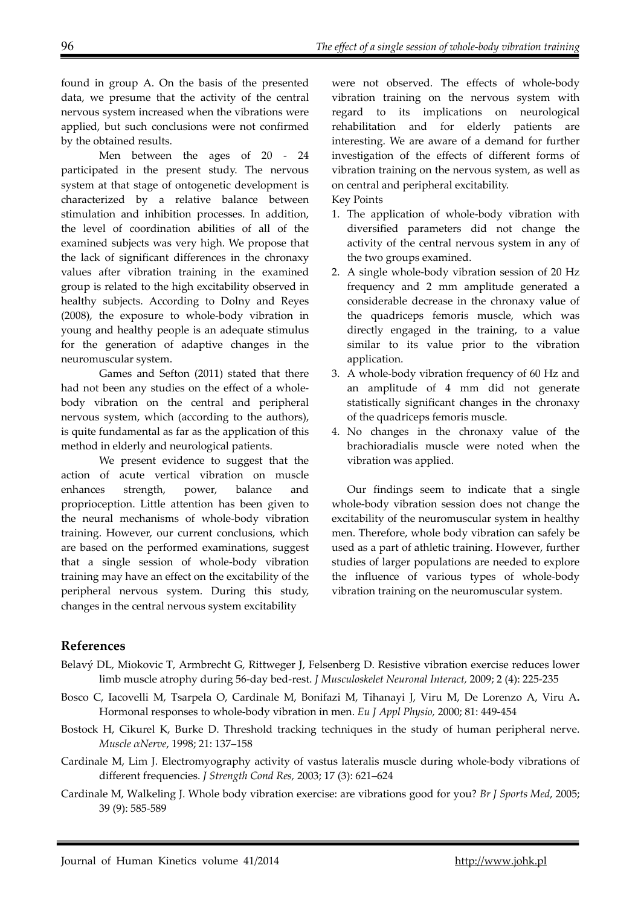found in group A. On the basis of the presented data, we presume that the activity of the central nervous system increased when the vibrations were applied, but such conclusions were not confirmed by the obtained results.

Men between the ages of 20 - 24 participated in the present study. The nervous system at that stage of ontogenetic development is characterized by a relative balance between stimulation and inhibition processes. In addition, the level of coordination abilities of all of the examined subjects was very high. We propose that the lack of significant differences in the chronaxy values after vibration training in the examined group is related to the high excitability observed in healthy subjects. According to Dolny and Reyes (2008), the exposure to whole-body vibration in young and healthy people is an adequate stimulus for the generation of adaptive changes in the neuromuscular system.

Games and Sefton (2011) stated that there had not been any studies on the effect of a wholebody vibration on the central and peripheral nervous system, which (according to the authors), is quite fundamental as far as the application of this method in elderly and neurological patients.

We present evidence to suggest that the action of acute vertical vibration on muscle enhances strength, power, balance and proprioception. Little attention has been given to the neural mechanisms of whole-body vibration training. However, our current conclusions, which are based on the performed examinations, suggest that a single session of whole-body vibration training may have an effect on the excitability of the peripheral nervous system. During this study, changes in the central nervous system excitability

were not observed. The effects of whole-body vibration training on the nervous system with regard to its implications on neurological rehabilitation and for elderly patients are interesting. We are aware of a demand for further investigation of the effects of different forms of vibration training on the nervous system, as well as on central and peripheral excitability.

Key Points

- 1. The application of whole-body vibration with diversified parameters did not change the activity of the central nervous system in any of the two groups examined.
- 2. A single whole-body vibration session of 20 Hz frequency and 2 mm amplitude generated a considerable decrease in the chronaxy value of the quadriceps femoris muscle, which was directly engaged in the training, to a value similar to its value prior to the vibration application.
- 3. A whole-body vibration frequency of 60 Hz and an amplitude of 4 mm did not generate statistically significant changes in the chronaxy of the quadriceps femoris muscle.
- 4. No changes in the chronaxy value of the brachioradialis muscle were noted when the vibration was applied.

Our findings seem to indicate that a single whole-body vibration session does not change the excitability of the neuromuscular system in healthy men. Therefore, whole body vibration can safely be used as a part of athletic training. However, further studies of larger populations are needed to explore the influence of various types of whole-body vibration training on the neuromuscular system.

## **References**

- Belavý DL, Miokovic T, Armbrecht G, Rittweger J, Felsenberg D. Resistive vibration exercise reduces lower limb muscle atrophy during 56-day bed-rest. *J Musculoskelet Neuronal Interact,* 2009; 2 (4): 225-235
- Bosco C, Iacovelli M, Tsarpela O, Cardinale M, Bonifazi M, Tihanayi J, Viru M, De Lorenzo A, Viru A**.**  Hormonal responses to whole-body vibration in men. *Eu J Appl Physio,* 2000; 81: 449-454
- Bostock H, Cikurel K, Burke D. Threshold tracking techniques in the study of human peripheral nerve. *Muscle αNerve*, 1998; 21: 137–158
- Cardinale M, Lim J. Electromyography activity of vastus lateralis muscle during whole-body vibrations of different frequencies. *J Strength Cond Res,* 2003; 17 (3): 621–624
- Cardinale M, Walkeling J. Whole body vibration exercise: are vibrations good for you? *Br J Sports Med*, 2005; 39 (9): 585-589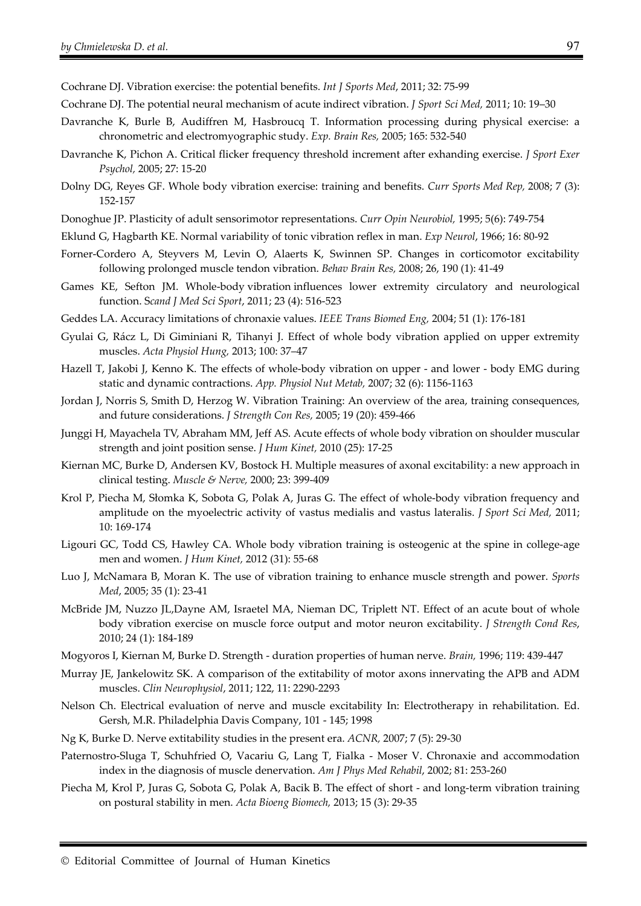- Cochrane DJ. Vibration exercise: the potential benefits. *Int J Sports Med*, 2011; 32: 75-99
- Cochrane DJ. The potential neural mechanism of acute indirect vibration. *J Sport Sci Med,* 2011; 10: 19–30
- Davranche K, Burle B, Audiffren M, Hasbroucq T. Information processing during physical exercise: a chronometric and electromyographic study. *Exp. Brain Res,* 2005; 165: 532-540
- Davranche K, Pichon A. Critical flicker frequency threshold increment after exhanding exercise. *J Sport Exer Psychol,* 2005; 27: 15-20
- Dolny DG, Reyes GF. Whole body vibration exercise: training and benefits. *Curr Sports Med Rep,* 2008; 7 (3): 152-157
- Donoghue JP. Plasticity of adult sensorimotor representations. *Curr Opin Neurobiol,* 1995; 5(6): 749-754
- Eklund G, Hagbarth KE. Normal variability of tonic vibration reflex in man. *Exp Neurol*, 1966; 16: 80-92
- Forner-Cordero A, Steyvers M, Levin O, Alaerts K, Swinnen SP. Changes in corticomotor excitability following prolonged muscle tendon vibration. *Behav Brain Res,* 2008; 26, 190 (1): 41-49
- Games KE, Sefton JM. Whole-body vibration influences lower extremity circulatory and neurological function. S*cand J Med Sci Sport*, 2011; 23 (4): 516-523
- Geddes LA. Accuracy limitations of chronaxie values. *IEEE Trans Biomed Eng,* 2004; 51 (1): 176-181
- Gyulai G, Rácz L, Di Giminiani R, Tihanyi J. Effect of whole body vibration applied on upper extremity muscles. *Acta Physiol Hung,* 2013; 100: 37–47
- Hazell T, Jakobi J, Kenno K. The effects of whole-body vibration on upper and lower body EMG during static and dynamic contractions. *App. Physiol Nut Metab,* 2007; 32 (6): 1156-1163
- Jordan J, Norris S, Smith D, Herzog W. Vibration Training: An overview of the area, training consequences, and future considerations. *J Strength Con Res,* 2005; 19 (20): 459-466
- Junggi H, Mayachela TV, Abraham MM, Jeff AS. Acute effects of whole body vibration on shoulder muscular strength and joint position sense. *J Hum Kinet,* 2010 (25): 17-25
- Kiernan MC, Burke D, Andersen KV, Bostock H. Multiple measures of axonal excitability: a new approach in clinical testing. *Muscle & Nerve,* 2000; 23: 399-409
- Krol P, Piecha M, Słomka K, Sobota G, Polak A, Juras G. The effect of whole-body vibration frequency and amplitude on the myoelectric activity of vastus medialis and vastus lateralis. *J Sport Sci Med,* 2011; 10: 169-174
- Ligouri GC, Todd CS, Hawley CA. Whole body vibration training is osteogenic at the spine in college-age men and women. *J Hum Kinet,* 2012 (31): 55-68
- Luo J, McNamara B, Moran K. The use of vibration training to enhance muscle strength and power. *Sports Med*, 2005; 35 (1): 23-41
- McBride JM, Nuzzo JL,Dayne AM, Israetel MA, Nieman DC, Triplett NT. Effect of an acute bout of whole body vibration exercise on muscle force output and motor neuron excitability. *J Strength Cond Res*, 2010; 24 (1): 184-189
- Mogyoros I, Kiernan M, Burke D. Strength duration properties of human nerve. *Brain,* 1996; 119: 439-447
- Murray JE, Jankelowitz SK. A comparison of the extitability of motor axons innervating the APB and ADM muscles. *Clin Neurophysiol*, 2011; 122, 11: 2290-2293
- Nelson Ch. Electrical evaluation of nerve and muscle excitability In: Electrotherapy in rehabilitation. Ed. Gersh, M.R. Philadelphia Davis Company, 101 - 145; 1998
- Ng K, Burke D. Nerve extitability studies in the present era. *ACNR,* 2007; 7 (5): 29-30
- Paternostro-Sluga T, Schuhfried O, Vacariu G, Lang T, Fialka Moser V. Chronaxie and accommodation index in the diagnosis of muscle denervation. *Am J Phys Med Rehabil*, 2002; 81: 253-260
- Piecha M, Krol P, Juras G, Sobota G, Polak A, Bacik B. The effect of short and long-term vibration training on postural stability in men. *Acta Bioeng Biomech,* 2013; 15 (3): 29-35